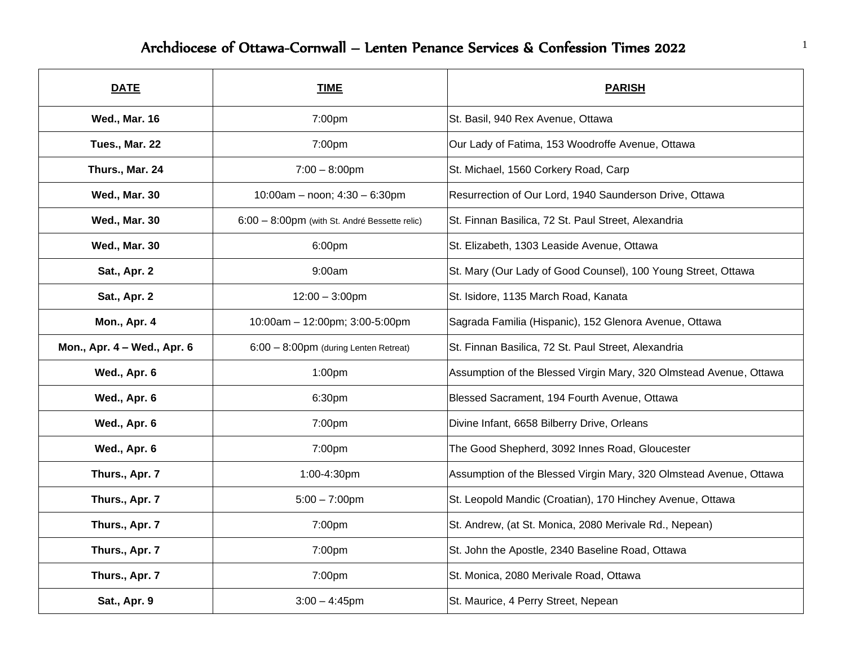## Archdiocese of Ottawa-Cornwall – Lenten Penance Services & Confession Times 2022

| <b>DATE</b>                 | <b>TIME</b>                                   | <b>PARISH</b>                                                      |
|-----------------------------|-----------------------------------------------|--------------------------------------------------------------------|
| <b>Wed., Mar. 16</b>        | 7:00pm                                        | St. Basil, 940 Rex Avenue, Ottawa                                  |
| Tues., Mar. 22              | 7:00pm                                        | Our Lady of Fatima, 153 Woodroffe Avenue, Ottawa                   |
| Thurs., Mar. 24             | $7:00 - 8:00$ pm                              | St. Michael, 1560 Corkery Road, Carp                               |
| <b>Wed., Mar. 30</b>        | 10:00am - noon; 4:30 - 6:30pm                 | Resurrection of Our Lord, 1940 Saunderson Drive, Ottawa            |
| <b>Wed., Mar. 30</b>        | 6:00 - 8:00pm (with St. André Bessette relic) | St. Finnan Basilica, 72 St. Paul Street, Alexandria                |
| <b>Wed., Mar. 30</b>        | 6:00pm                                        | St. Elizabeth, 1303 Leaside Avenue, Ottawa                         |
| <b>Sat., Apr. 2</b>         | 9:00am                                        | St. Mary (Our Lady of Good Counsel), 100 Young Street, Ottawa      |
| Sat., Apr. 2                | $12:00 - 3:00$ pm                             | St. Isidore, 1135 March Road, Kanata                               |
| Mon., Apr. 4                | 10:00am - 12:00pm; 3:00-5:00pm                | Sagrada Familia (Hispanic), 152 Glenora Avenue, Ottawa             |
| Mon., Apr. 4 - Wed., Apr. 6 | 6:00 - 8:00pm (during Lenten Retreat)         | St. Finnan Basilica, 72 St. Paul Street, Alexandria                |
| Wed., Apr. 6                | 1:00 <sub>pm</sub>                            | Assumption of the Blessed Virgin Mary, 320 Olmstead Avenue, Ottawa |
| Wed., Apr. 6                | 6:30pm                                        | Blessed Sacrament, 194 Fourth Avenue, Ottawa                       |
| Wed., Apr. 6                | 7:00pm                                        | Divine Infant, 6658 Bilberry Drive, Orleans                        |
| Wed., Apr. 6                | 7:00pm                                        | The Good Shepherd, 3092 Innes Road, Gloucester                     |
| Thurs., Apr. 7              | 1:00-4:30pm                                   | Assumption of the Blessed Virgin Mary, 320 Olmstead Avenue, Ottawa |
| Thurs., Apr. 7              | $5:00 - 7:00$ pm                              | St. Leopold Mandic (Croatian), 170 Hinchey Avenue, Ottawa          |
| Thurs., Apr. 7              | 7:00pm                                        | St. Andrew, (at St. Monica, 2080 Merivale Rd., Nepean)             |
| Thurs., Apr. 7              | 7:00pm                                        | St. John the Apostle, 2340 Baseline Road, Ottawa                   |
| Thurs., Apr. 7              | 7:00pm                                        | St. Monica, 2080 Merivale Road, Ottawa                             |
| <b>Sat., Apr. 9</b>         | $3:00 - 4:45$ pm                              | St. Maurice, 4 Perry Street, Nepean                                |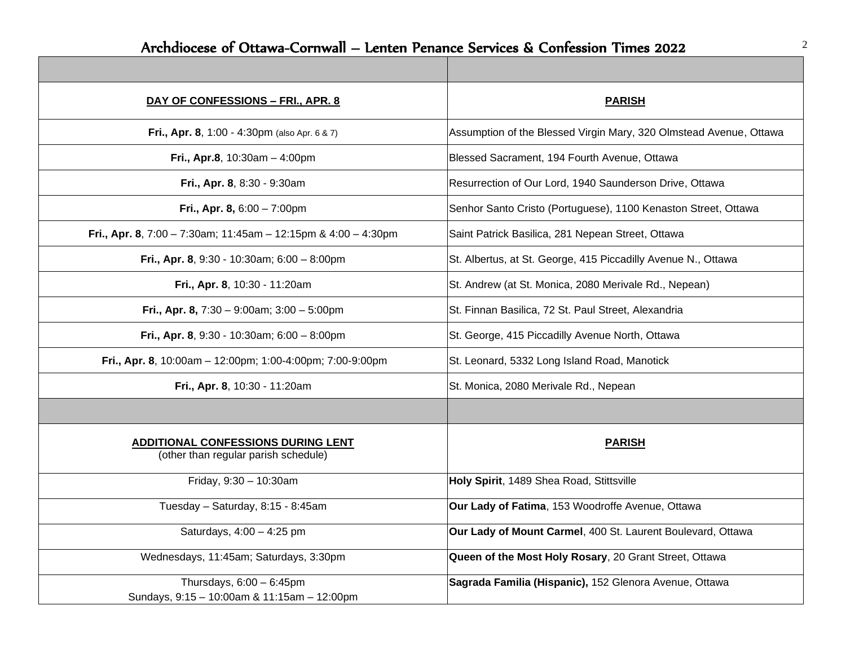$\blacksquare$ 

| DAY OF CONFESSIONS - FRI., APR. 8                                                 | <b>PARISH</b>                                                      |
|-----------------------------------------------------------------------------------|--------------------------------------------------------------------|
| Fri., Apr. 8, 1:00 - 4:30pm (also Apr. 6 & 7)                                     | Assumption of the Blessed Virgin Mary, 320 Olmstead Avenue, Ottawa |
| Fri., Apr.8, $10:30am - 4:00pm$                                                   | Blessed Sacrament, 194 Fourth Avenue, Ottawa                       |
| Fri., Apr. 8, 8:30 - 9:30am                                                       | Resurrection of Our Lord, 1940 Saunderson Drive, Ottawa            |
| Fri., Apr. 8, $6:00 - 7:00$ pm                                                    | Senhor Santo Cristo (Portuguese), 1100 Kenaston Street, Ottawa     |
| Fri., Apr. 8, 7:00 - 7:30am; 11:45am - 12:15pm & 4:00 - 4:30pm                    | Saint Patrick Basilica, 281 Nepean Street, Ottawa                  |
| Fri., Apr. 8, 9:30 - 10:30am; 6:00 - 8:00pm                                       | St. Albertus, at St. George, 415 Piccadilly Avenue N., Ottawa      |
| Fri., Apr. 8, 10:30 - 11:20am                                                     | St. Andrew (at St. Monica, 2080 Merivale Rd., Nepean)              |
| Fri., Apr. 8, $7:30 - 9:00$ am; $3:00 - 5:00$ pm                                  | St. Finnan Basilica, 72 St. Paul Street, Alexandria                |
| Fri., Apr. 8, 9:30 - 10:30am; 6:00 - 8:00pm                                       | St. George, 415 Piccadilly Avenue North, Ottawa                    |
| Fri., Apr. 8, 10:00am - 12:00pm; 1:00-4:00pm; 7:00-9:00pm                         | St. Leonard, 5332 Long Island Road, Manotick                       |
| Fri., Apr. 8, 10:30 - 11:20am                                                     | St. Monica, 2080 Merivale Rd., Nepean                              |
|                                                                                   |                                                                    |
| <b>ADDITIONAL CONFESSIONS DURING LENT</b><br>(other than regular parish schedule) | <b>PARISH</b>                                                      |
| Friday, 9:30 - 10:30am                                                            | Holy Spirit, 1489 Shea Road, Stittsville                           |
| Tuesday - Saturday, 8:15 - 8:45am                                                 | Our Lady of Fatima, 153 Woodroffe Avenue, Ottawa                   |
| Saturdays, 4:00 - 4:25 pm                                                         | Our Lady of Mount Carmel, 400 St. Laurent Boulevard, Ottawa        |
| Wednesdays, 11:45am; Saturdays, 3:30pm                                            | Queen of the Most Holy Rosary, 20 Grant Street, Ottawa             |
| Thursdays, $6:00 - 6:45$ pm<br>Sundays, 9:15 - 10:00am & 11:15am - 12:00pm        | Sagrada Familia (Hispanic), 152 Glenora Avenue, Ottawa             |